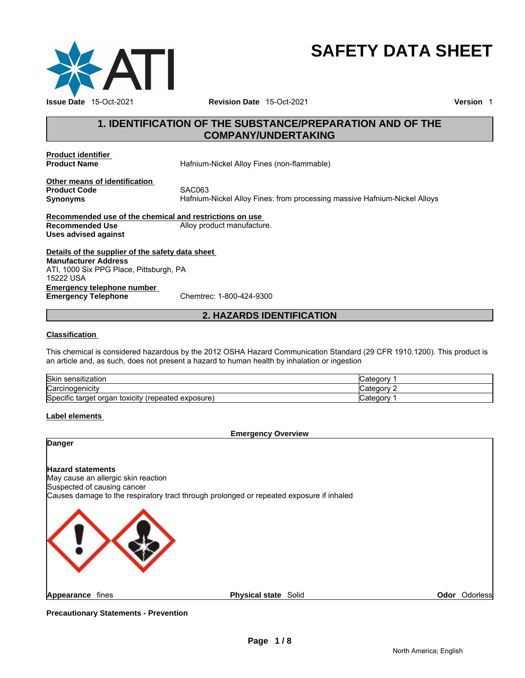

# **SAFETY DATA SHEET**

### **1. IDENTIFICATION OF THE SUBSTANCE/PREPARATION AND OF THE COMPANY/UNDERTAKING**

**Product identifier** 

**Product Name Hafnium-Nickel Alloy Fines (non-flammable)** 

**Other means of identification Product Code 6 8 SAC063**<br> **Synonyms** Hafnium

**Synonyms** Hafnium-Nickel Alloy Fines: from processing massive Hafnium-Nickel Alloys

**Recommended use of the chemical and restrictions on use Recommended Use Alloy product manufacture. Uses advised against** 

**Details of the supplier of the safety data sheet Emergency telephone number<br>
Emergency Telephone**<br>
Chemtrec: 1-800-424-9300 **Emergency Telephone Manufacturer Address** ATI, 1000 Six PPG Place, Pittsburgh, PA 15222 USA

### **2. HAZARDS IDENTIFICATION**

### **Classification**

This chemical is considered hazardous by the 2012 OSHA Hazard Communication Standard (29 CFR 1910.1200). This product is an article and, as such, does not present a hazard to human health by inhalation or ingestion

| <b>Skir</b><br>sensitization                                        | …ategor∨   |
|---------------------------------------------------------------------|------------|
| $C$ arcin<br>nogenicitv<br>Naivii                                   | ∵ateɑorv.  |
| <b>Specific target</b><br>. organ toxicity<br>exposure)<br>repeated | ∴ategor∨ ⊂ |

#### **Label elements**

#### **Emergency Overview**

### **Danger**

### **Hazard statements**

May cause an allergic skin reaction Suspected of causing cancer Causes damage to the respiratory tract through prolonged or repeated exposure if inhaled



**Appearance fines Physical state Solid Page 1/8**<br>**Page 1/8**<br>**Page 1/8** 

**Precautionary Statements - Prevention**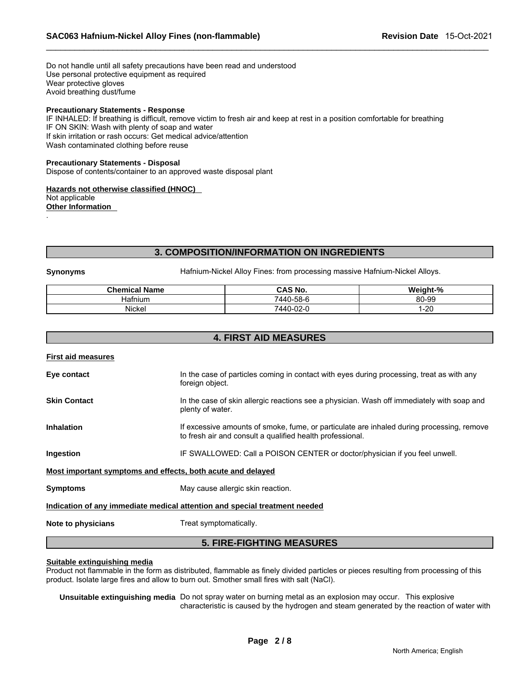Do not handle until all safety precautions have been read and understood Use personal protective equipment as required Wear protective gloves Avoid breathing dust/fume

### **Precautionary Statements - Response**

IF INHALED: If breathing is difficult, remove victim to fresh air and keep at rest in a position comfortable for breathing IF ON SKIN: Wash with plenty of soap and water If skin irritation or rash occurs: Get medical advice/attention Wash contaminated clothing before reuse

#### **Precautionary Statements - Disposal**

Dispose of contents/container to an approved waste disposal plant

**Hazards not otherwise classified (HNOC)**  Not applicable **Other Information** 

### **3. COMPOSITION/INFORMATION ON INGREDIENTS**

.

**Synonyms** Hafnium-Nickel Alloy Fines: from processing massive Hafnium-Nickel Alloys.

| <b>Chemical Name</b> | <b>CAS No.</b> | Weight-% |
|----------------------|----------------|----------|
| Hatnıum              | 7440-58-6      | 80-99    |
| Nickel               | 7440-02-0      | $-20$    |

### **4. FIRST AID MEASURES**

#### **First aid measures**

| Eye contact                                                 | In the case of particles coming in contact with eyes during processing, treat as with any                                                              |
|-------------------------------------------------------------|--------------------------------------------------------------------------------------------------------------------------------------------------------|
|                                                             | foreign object.                                                                                                                                        |
| <b>Skin Contact</b>                                         | In the case of skin allergic reactions see a physician. Wash off immediately with soap and<br>plenty of water.                                         |
| <b>Inhalation</b>                                           | If excessive amounts of smoke, fume, or particulate are inhaled during processing, remove<br>to fresh air and consult a qualified health professional. |
| Ingestion                                                   | IF SWALLOWED: Call a POISON CENTER or doctor/physician if you feel unwell.                                                                             |
| Most important symptoms and effects, both acute and delayed |                                                                                                                                                        |
| <b>Symptoms</b>                                             | May cause allergic skin reaction.                                                                                                                      |
|                                                             | Indication of any immediate medical attention and special treatment needed                                                                             |
| Note to physicians                                          | Treat symptomatically.                                                                                                                                 |
|                                                             | <b>5. FIRE-FIGHTING MEASURES</b>                                                                                                                       |

### **Suitable extinguishing media**

Product not flammable in the form as distributed, flammable as finely divided particles or pieces resulting from processing of this product. Isolate large fires and allow to burn out. Smother small fires with salt (NaCl).

**Unsuitable extinguishing media** Do not spray water on burning metal as an explosion may occur. This explosive characteristic is caused by the hydrogen and steam generated by the reaction of water with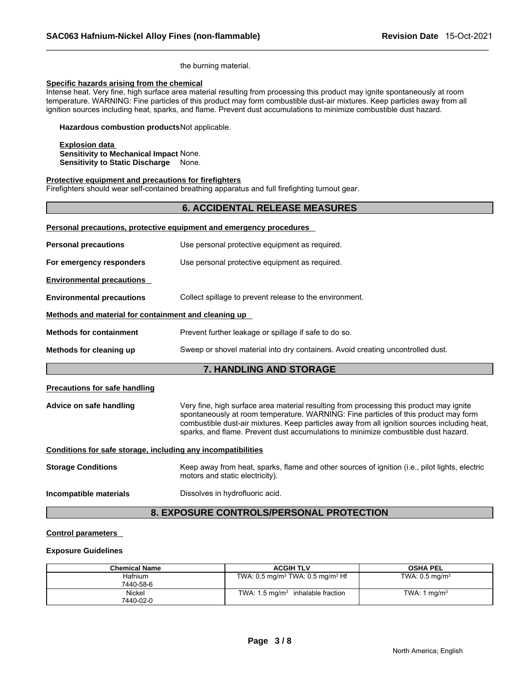the burning material.

#### **Specific hazards arising from the chemical**

Intense heat. Very fine, high surface area material resulting from processing this product may ignite spontaneously at room temperature. WARNING: Fine particles of this product may form combustible dust-air mixtures. Keep particles away from all ignition sources including heat, sparks, and flame. Prevent dust accumulations to minimize combustible dust hazard.

**Hazardous combustion products** Not applicable.

**Explosion data Sensitivity to Mechanical Impact** None. **Sensitivity to Static Discharge** None.

#### **Protective equipment and precautions for firefighters**

Firefighters should wear self-contained breathing apparatus and full firefighting turnout gear.

### **6. ACCIDENTAL RELEASE MEASURES**

|                                                              | Personal precautions, protective equipment and emergency procedures                                                                                                                                                                                                                                                                                                  |
|--------------------------------------------------------------|----------------------------------------------------------------------------------------------------------------------------------------------------------------------------------------------------------------------------------------------------------------------------------------------------------------------------------------------------------------------|
| <b>Personal precautions</b>                                  | Use personal protective equipment as required.                                                                                                                                                                                                                                                                                                                       |
| For emergency responders                                     | Use personal protective equipment as required.                                                                                                                                                                                                                                                                                                                       |
| <b>Environmental precautions</b>                             |                                                                                                                                                                                                                                                                                                                                                                      |
| <b>Environmental precautions</b>                             | Collect spillage to prevent release to the environment.                                                                                                                                                                                                                                                                                                              |
| Methods and material for containment and cleaning up         |                                                                                                                                                                                                                                                                                                                                                                      |
| <b>Methods for containment</b>                               | Prevent further leakage or spillage if safe to do so.                                                                                                                                                                                                                                                                                                                |
| Methods for cleaning up                                      | Sweep or shovel material into dry containers. Avoid creating uncontrolled dust.                                                                                                                                                                                                                                                                                      |
|                                                              | 7. HANDLING AND STORAGE                                                                                                                                                                                                                                                                                                                                              |
| <b>Precautions for safe handling</b>                         |                                                                                                                                                                                                                                                                                                                                                                      |
| Advice on safe handling                                      | Very fine, high surface area material resulting from processing this product may ignite<br>spontaneously at room temperature. WARNING: Fine particles of this product may form<br>combustible dust-air mixtures. Keep particles away from all ignition sources including heat,<br>sparks, and flame. Prevent dust accumulations to minimize combustible dust hazard. |
| Conditions for safe storage, including any incompatibilities |                                                                                                                                                                                                                                                                                                                                                                      |
| <b>Storage Conditions</b>                                    | Keep away from heat, sparks, flame and other sources of ignition (i.e., pilot lights, electric<br>motors and static electricity).                                                                                                                                                                                                                                    |
| Incompatible materials                                       | Dissolves in hydrofluoric acid.                                                                                                                                                                                                                                                                                                                                      |
|                                                              | <b>8. EXPOSURE CONTROLS/PERSONAL PROTECTION</b>                                                                                                                                                                                                                                                                                                                      |

### **Control parameters**

#### **Exposure Guidelines**

| <b>Chemical Name</b> | <b>ACGIH TLV</b>                                       | <b>OSHA PEL</b>           |
|----------------------|--------------------------------------------------------|---------------------------|
| Hafnium              | TWA: $0.5 \text{ mg/m}^3$ TWA: $0.5 \text{ mg/m}^3$ Hf | TWA: $0.5 \text{ mg/m}^3$ |
| 7440-58-6            |                                                        |                           |
| Nickel               | TWA: $1.5 \text{ mg/m}^3$ inhalable fraction           | TWA: $1 \text{ ma/m}^3$   |
| 7440-02-0            |                                                        |                           |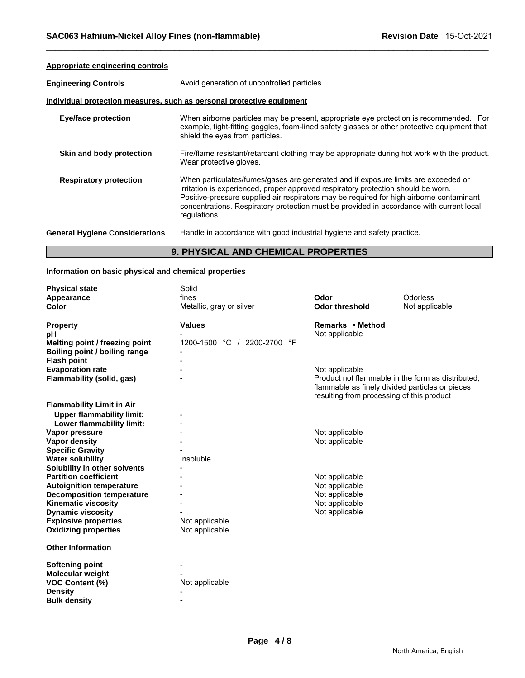| Appropriate engineering controls                                      |                                                                                                                                                                                                                                                                                                                                                                                 |
|-----------------------------------------------------------------------|---------------------------------------------------------------------------------------------------------------------------------------------------------------------------------------------------------------------------------------------------------------------------------------------------------------------------------------------------------------------------------|
| <b>Engineering Controls</b>                                           | Avoid generation of uncontrolled particles.                                                                                                                                                                                                                                                                                                                                     |
| Individual protection measures, such as personal protective equipment |                                                                                                                                                                                                                                                                                                                                                                                 |
| <b>Eye/face protection</b>                                            | When airborne particles may be present, appropriate eye protection is recommended. For<br>example, tight-fitting goggles, foam-lined safety glasses or other protective equipment that<br>shield the eyes from particles.                                                                                                                                                       |
| Skin and body protection                                              | Fire/flame resistant/retardant clothing may be appropriate during hot work with the product.<br>Wear protective gloves.                                                                                                                                                                                                                                                         |
| <b>Respiratory protection</b>                                         | When particulates/fumes/gases are generated and if exposure limits are exceeded or<br>irritation is experienced, proper approved respiratory protection should be worn.<br>Positive-pressure supplied air respirators may be required for high airborne contaminant<br>concentrations. Respiratory protection must be provided in accordance with current local<br>regulations. |
| <b>General Hygiene Considerations</b>                                 | Handle in accordance with good industrial hygiene and safety practice.                                                                                                                                                                                                                                                                                                          |

### **9. PHYSICAL AND CHEMICAL PROPERTIES**

### **Information on basic physical and chemical properties**

| <b>Physical state</b>                                         | Solid                       |                                                                                                                                                   |                 |
|---------------------------------------------------------------|-----------------------------|---------------------------------------------------------------------------------------------------------------------------------------------------|-----------------|
| Appearance                                                    | fines                       | Odor                                                                                                                                              | <b>Odorless</b> |
| Color                                                         | Metallic, gray or silver    | <b>Odor threshold</b>                                                                                                                             | Not applicable  |
| <b>Property</b><br>рH                                         | Values                      | Remarks • Method<br>Not applicable                                                                                                                |                 |
| Melting point / freezing point                                | 1200-1500 °C / 2200-2700 °F |                                                                                                                                                   |                 |
| Boiling point / boiling range                                 |                             |                                                                                                                                                   |                 |
| <b>Flash point</b>                                            |                             |                                                                                                                                                   |                 |
| <b>Evaporation rate</b>                                       |                             | Not applicable                                                                                                                                    |                 |
| Flammability (solid, gas)                                     |                             | Product not flammable in the form as distributed.<br>flammable as finely divided particles or pieces<br>resulting from processing of this product |                 |
| <b>Flammability Limit in Air</b>                              |                             |                                                                                                                                                   |                 |
| <b>Upper flammability limit:</b><br>Lower flammability limit: |                             |                                                                                                                                                   |                 |
| Vapor pressure                                                |                             | Not applicable                                                                                                                                    |                 |
| <b>Vapor density</b>                                          |                             | Not applicable                                                                                                                                    |                 |
| <b>Specific Gravity</b>                                       |                             |                                                                                                                                                   |                 |
| <b>Water solubility</b>                                       | Insoluble                   |                                                                                                                                                   |                 |
| Solubility in other solvents                                  |                             |                                                                                                                                                   |                 |
| <b>Partition coefficient</b>                                  |                             | Not applicable                                                                                                                                    |                 |
| <b>Autoignition temperature</b>                               |                             | Not applicable                                                                                                                                    |                 |
| <b>Decomposition temperature</b>                              |                             | Not applicable                                                                                                                                    |                 |
| <b>Kinematic viscosity</b>                                    |                             | Not applicable                                                                                                                                    |                 |
| <b>Dynamic viscosity</b>                                      |                             | Not applicable                                                                                                                                    |                 |
| <b>Explosive properties</b>                                   | Not applicable              |                                                                                                                                                   |                 |
| <b>Oxidizing properties</b>                                   | Not applicable              |                                                                                                                                                   |                 |
| <b>Other Information</b>                                      |                             |                                                                                                                                                   |                 |
| <b>Softening point</b>                                        |                             |                                                                                                                                                   |                 |
| Molecular weight                                              |                             |                                                                                                                                                   |                 |
| <b>VOC Content (%)</b>                                        | Not applicable              |                                                                                                                                                   |                 |
| <b>Density</b>                                                |                             |                                                                                                                                                   |                 |
| <b>Bulk density</b>                                           |                             |                                                                                                                                                   |                 |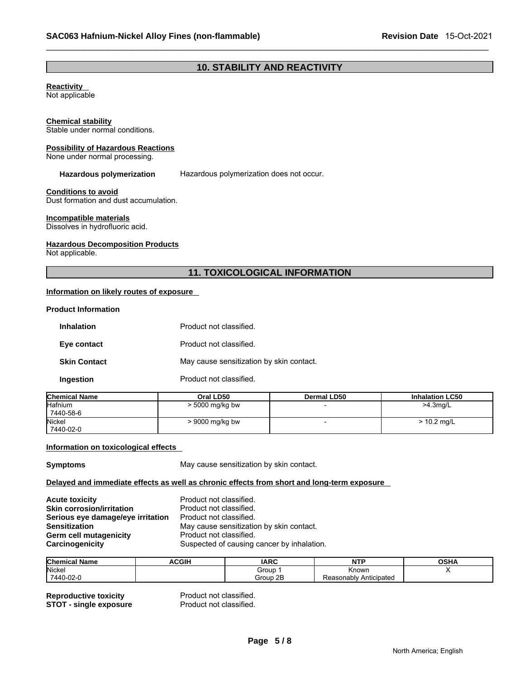### **10. STABILITY AND REACTIVITY**

### **Reactivity**

Not applicable

#### **Chemical stability**

Stable under normal conditions.

#### **Possibility of Hazardous Reactions**

None under normal processing.

**Hazardous polymerization** Hazardous polymerization does not occur.

#### **Conditions to avoid**

Dust formation and dust accumulation.

#### **Incompatible materials**

Dissolves in hydrofluoric acid.

#### **Hazardous Decomposition Products**

Not applicable.

### **11. TOXICOLOGICAL INFORMATION**

### **Information on likely routes of exposure**

#### **Product Information**

| <b>Inhalation</b>   | Product not classified.                  |
|---------------------|------------------------------------------|
| Eye contact         | Product not classified.                  |
| <b>Skin Contact</b> | May cause sensitization by skin contact. |
| Ingestion           | Product not classified.                  |

| <b>Chemical Name</b> | Oral LD50         | <b>Dermal LD50</b> | <b>Inhalation LC50</b> |
|----------------------|-------------------|--------------------|------------------------|
| <b>Hafnium</b>       | $> 5000$ mg/kg bw |                    | $>4.3$ mg/L            |
| 7440-58-6            |                   |                    |                        |
| Nickel               | $>9000$ mg/kg bw  |                    | $> 10.2$ mg/L          |
| 7440-02-0            |                   |                    |                        |

#### **Information on toxicological effects**

**Symptoms Symptoms May cause sensitization by skin contact.** 

#### **Delayed and immediate effects as well as chronic effects from short and long-term exposure**

| <b>Acute toxicity</b>             | Product not classified.                    |
|-----------------------------------|--------------------------------------------|
| <b>Skin corrosion/irritation</b>  | Product not classified.                    |
| Serious eye damage/eye irritation | Product not classified.                    |
| <b>Sensitization</b>              | May cause sensitization by skin contact.   |
| Germ cell mutagenicity            | Product not classified.                    |
| Carcinogenicity                   | Suspected of causing cancer by inhalation. |

| <b>Chem</b><br>mical Name | <b>ACGIH</b> | <b>IARC</b> | <b>NTP</b>                  | OSHA |
|---------------------------|--------------|-------------|-----------------------------|------|
| <b>Nicke</b>              |              | Group       | Known                       |      |
| 7440-02-0                 |              | Group 2B    | : Anticipated<br>Reasonably |      |

**Reproductive toxicity example 3 Reproductive Product not classified.**<br> **STOT - single exposure** Product not classified. **STOT - single exposure**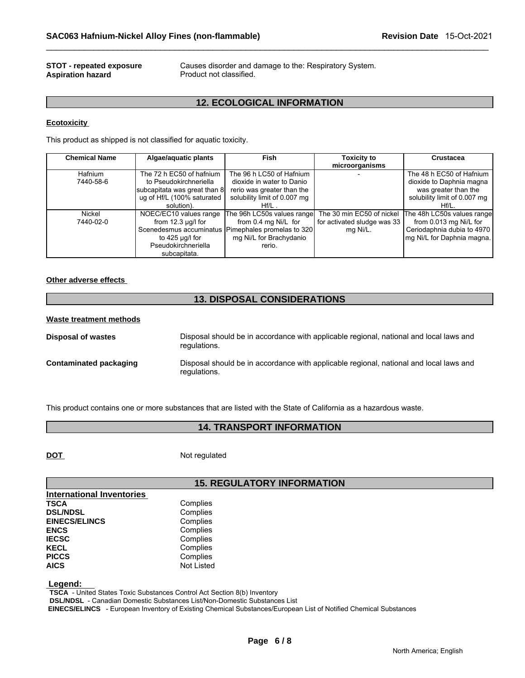## **Aspiration hazard**

**STOT - repeated exposure Causes disorder and damage to the: Respiratory System.**<br>**Aspiration hazard Causes** Product not classified.

### **12. ECOLOGICAL INFORMATION**

### **Ecotoxicity**

This product as shipped is not classified for aquatic toxicity.

| <b>Chemical Name</b> | Algae/aquatic plants         | Fish                                                 | <b>Toxicity to</b>          | Crustacea                                                                       |
|----------------------|------------------------------|------------------------------------------------------|-----------------------------|---------------------------------------------------------------------------------|
|                      |                              |                                                      | microorganisms              |                                                                                 |
| Hafnium              | The 72 h EC50 of hafnium     | The 96 h LC50 of Hafnium                             |                             | The 48 h EC50 of Hafnium                                                        |
| 7440-58-6            | to Pseudokirchneriella       | dioxide in water to Danio                            |                             | dioxide to Daphnia magna                                                        |
|                      | subcapitata was great than 8 | rerio was greater than the                           |                             | was greater than the                                                            |
|                      | ug of Hf/L (100% saturated   | solubility limit of 0.007 mg                         |                             | solubility limit of 0.007 mg                                                    |
|                      | solution).                   | $Hf/L$ .                                             |                             | $Hf/L$ .                                                                        |
| Nickel               | NOEC/EC10 values range       |                                                      |                             | The 96h LC50s values range The 30 min EC50 of nickel The 48h LC50s values range |
| 7440-02-0            | from $12.3 \mu g/l$ for      | from 0.4 mg Ni/L for                                 | for activated sludge was 33 | from 0.013 mg Ni/L for                                                          |
|                      |                              | Scenedesmus accuminatus   Pimephales promelas to 320 | mg Ni/L.                    | Ceriodaphnia dubia to 4970                                                      |
|                      | to 425 µg/l for              | mg Ni/L for Brachydanio                              |                             | mg Ni/L for Daphnia magna.                                                      |
|                      | Pseudokirchneriella          | rerio.                                               |                             |                                                                                 |
|                      | subcapitata.                 |                                                      |                             |                                                                                 |

#### **Other adverse effects**

## **13. DISPOSAL CONSIDERATIONS**

#### **Waste treatment methods**

| Disposal of wastes     | Disposal should be in accordance with applicable regional, national and local laws and<br>regulations. |
|------------------------|--------------------------------------------------------------------------------------------------------|
| Contaminated packaging | Disposal should be in accordance with applicable regional, national and local laws and<br>regulations. |

This product contains one or more substances that are listed with the State of California as a hazardous waste.

### **14. TRANSPORT INFORMATION**

**DOT** Not regulated

### **15. REGULATORY INFORMATION**

| <b>International Inventories</b> |                   |
|----------------------------------|-------------------|
| <b>TSCA</b>                      | Complies          |
| <b>DSL/NDSL</b>                  | Complies          |
| <b>EINECS/ELINCS</b>             | Complies          |
| <b>ENCS</b>                      | Complies          |
| <b>IECSC</b>                     | Complies          |
| <b>KECL</b>                      | Complies          |
| <b>PICCS</b>                     | Complies          |
| <b>AICS</b>                      | <b>Not Listed</b> |

 **Legend:** 

 **TSCA** - United States Toxic Substances Control Act Section 8(b) Inventory

 **DSL/NDSL** - Canadian Domestic Substances List/Non-Domestic Substances List

 **EINECS/ELINCS** - European Inventory of Existing Chemical Substances/European List of Notified Chemical Substances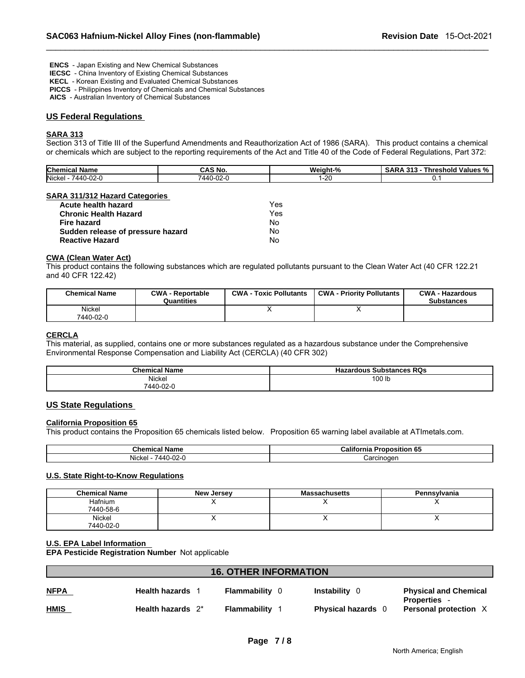**ENCS** - Japan Existing and New Chemical Substances

 **IECSC** - China Inventory of Existing Chemical Substances

 **KECL** - Korean Existing and Evaluated Chemical Substances

 **PICCS** - Philippines Inventory of Chemicals and Chemical Substances

 **AICS** - Australian Inventory of Chemical Substances

#### **US Federal Regulations**

#### **SARA 313**

Section 313 of Title III of the Superfund Amendments and Reauthorization Act of 1986 (SARA). This product contains a chemical or chemicals which are subject to the reporting requirements of the Act and Title 40 of the Code of Federal Regulations, Part 372:

| <b>Chemical</b><br>.<br>Name | - - -<br>CAS No.             | <b>MIA</b><br>04 عمامت<br>. IT-1 | $\sim$<br><br>' SAR,<br><b>Threshold</b><br>∵ Values % ⊥<br>د د |
|------------------------------|------------------------------|----------------------------------|-----------------------------------------------------------------|
| Nickel<br>-02-0<br>440-      | $\sim$<br>/ A A I<br>.∪-∪∠-' | ΣU                               | $\cdot$                                                         |

#### **SARA 311/312 Hazard Categories**

| Acute health hazard               | Yes |
|-----------------------------------|-----|
| <b>Chronic Health Hazard</b>      | Yes |
| Fire hazard                       | No  |
| Sudden release of pressure hazard | No  |
| <b>Reactive Hazard</b>            | No  |

### **CWA (Clean Water Act)**

This product contains the following substances which are regulated pollutants pursuant to the Clean Water Act (40 CFR 122.21 and 40 CFR 122.42)

| <b>Chemical Name</b> | <b>CWA - Reportable</b><br>Quantities | <b>CWA - Toxic Pollutants</b> | <b>CWA - Priority Pollutants</b> | <b>CWA - Hazardous</b><br><b>Substances</b> |
|----------------------|---------------------------------------|-------------------------------|----------------------------------|---------------------------------------------|
| Nickel<br>7440-02-0  |                                       |                               |                                  |                                             |

### **CERCLA**

This material, as supplied, contains one or more substances regulated as a hazardous substance under the Comprehensive Environmental Response Compensation and Liability Act (CERCLA) (40 CFR 302)

| <b>Chemical Name</b> | <b>Hazardous Substances RQs</b> |
|----------------------|---------------------------------|
| Nickel               | 100 lb                          |
| 7440-02-0            |                                 |

### **US State Regulations**

#### **California Proposition 65**

This product contains the Proposition 65 chemicals listed below. Proposition 65 warning label available at ATImetals.com.

| <b>Chemical Name</b>                       | <b>Californi:</b><br>--<br>ec<br>---<br>onosition<br>ິບປ |
|--------------------------------------------|----------------------------------------------------------|
| .<br>$\sim$<br>7440-ı<br>Nicke.<br>. JZ-11 | ∶arcınoɑer                                               |

#### **U.S. State Right-to-Know Regulations**

| <b>Chemical Name</b> | <b>New Jersey</b> | <b>Massachusetts</b> | Pennsylvania |
|----------------------|-------------------|----------------------|--------------|
| <b>Hafnium</b>       |                   |                      |              |
| 7440-58-6            |                   |                      |              |
| Nickel               |                   |                      |              |
| 7440-02-0            |                   |                      |              |

#### **U.S. EPA Label Information**

**EPA Pesticide Registration Number** Not applicable

| <b>16. OTHER INFORMATION</b> |                         |                       |                           |                                                   |
|------------------------------|-------------------------|-----------------------|---------------------------|---------------------------------------------------|
| <b>NFPA</b>                  | <b>Health hazards</b> 1 | <b>Flammability</b> 0 | <b>Instability</b> 0      | <b>Physical and Chemical</b><br><b>Properties</b> |
| <b>HMIS</b>                  | Health hazards $2^*$    | Flammability          | <b>Physical hazards</b> 0 | Personal protection X                             |